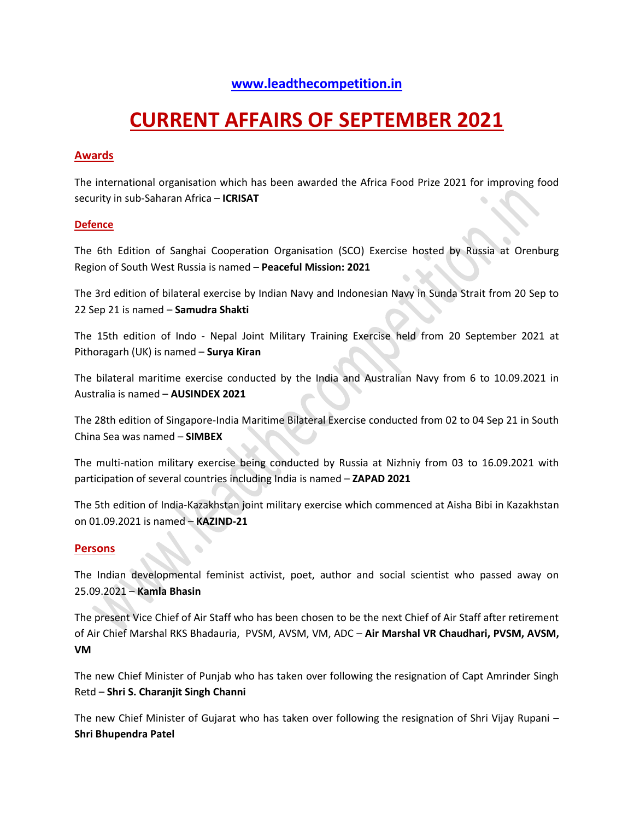# **[www.leadthecompetition.in](http://www.leadthecompetition.in/)**

# **CURRENT AFFAIRS OF SEPTEMBER 2021**

### **Awards**

The international organisation which has been awarded the Africa Food Prize 2021 for improving food security in sub-Saharan Africa – **ICRISAT**

### **Defence**

The 6th Edition of Sanghai Cooperation Organisation (SCO) Exercise hosted by Russia at Orenburg Region of South West Russia is named – **Peaceful Mission: 2021**

The 3rd edition of bilateral exercise by Indian Navy and Indonesian Navy in Sunda Strait from 20 Sep to 22 Sep 21 is named – **Samudra Shakti**

The 15th edition of Indo - Nepal Joint Military Training Exercise held from 20 September 2021 at Pithoragarh (UK) is named – **Surya Kiran**

The bilateral maritime exercise conducted by the India and Australian Navy from 6 to 10.09.2021 in Australia is named – **AUSINDEX 2021**

The 28th edition of Singapore-India Maritime Bilateral Exercise conducted from 02 to 04 Sep 21 in South China Sea was named – **SIMBEX**

The multi-nation military exercise being conducted by Russia at Nizhniy from 03 to 16.09.2021 with participation of several countries including India is named – **ZAPAD 2021**

The 5th edition of India-Kazakhstan joint military exercise which commenced at Aisha Bibi in Kazakhstan on 01.09.2021 is named – **KAZIND-21**

#### **Persons**

The Indian developmental feminist activist, poet, author and social scientist who passed away on 25.09.2021 – **Kamla Bhasin**

The present Vice Chief of Air Staff who has been chosen to be the next Chief of Air Staff after retirement of Air Chief Marshal RKS Bhadauria, PVSM, AVSM, VM, ADC – **Air Marshal VR Chaudhari, PVSM, AVSM, VM**

The new Chief Minister of Punjab who has taken over following the resignation of Capt Amrinder Singh Retd – **Shri S. Charanjit Singh Channi**

The new Chief Minister of Gujarat who has taken over following the resignation of Shri Vijay Rupani – **Shri Bhupendra Patel**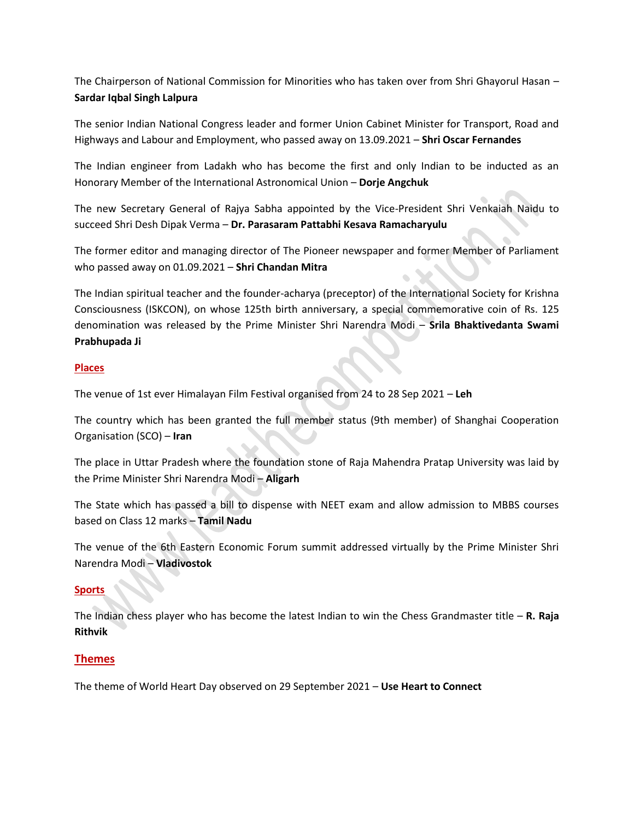The Chairperson of National Commission for Minorities who has taken over from Shri Ghayorul Hasan – **Sardar Iqbal Singh Lalpura**

The senior Indian National Congress leader and former Union Cabinet Minister for Transport, Road and Highways and Labour and Employment, who passed away on 13.09.2021 – **Shri Oscar Fernandes**

The Indian engineer from Ladakh who has become the first and only Indian to be inducted as an Honorary Member of the International Astronomical Union – **Dorje Angchuk**

The new Secretary General of Rajya Sabha appointed by the Vice-President Shri Venkaiah Naidu to succeed Shri Desh Dipak Verma – **Dr. Parasaram Pattabhi Kesava Ramacharyulu**

The former editor and managing director of The Pioneer newspaper and former Member of Parliament who passed away on 01.09.2021 – **Shri Chandan Mitra**

The Indian spiritual teacher and the founder-acharya (preceptor) of the International Society for Krishna Consciousness (ISKCON), on whose 125th birth anniversary, a special commemorative coin of Rs. 125 denomination was released by the Prime Minister Shri Narendra Modi – **Srila Bhaktivedanta Swami Prabhupada Ji**

### **Places**

The venue of 1st ever Himalayan Film Festival organised from 24 to 28 Sep 2021 – **Leh**

The country which has been granted the full member status (9th member) of Shanghai Cooperation Organisation (SCO) – **Iran**

The place in Uttar Pradesh where the foundation stone of Raja Mahendra Pratap University was laid by the Prime Minister Shri Narendra Modi – **Aligarh**

The State which has passed a bill to dispense with NEET exam and allow admission to MBBS courses based on Class 12 marks – **Tamil Nadu**

The venue of the 6th Eastern Economic Forum summit addressed virtually by the Prime Minister Shri Narendra Modi – **Vladivostok**

### **Sports**

The Indian chess player who has become the latest Indian to win the Chess Grandmaster title – **R. Raja Rithvik**

### **Themes**

The theme of World Heart Day observed on 29 September 2021 – **Use Heart to Connect**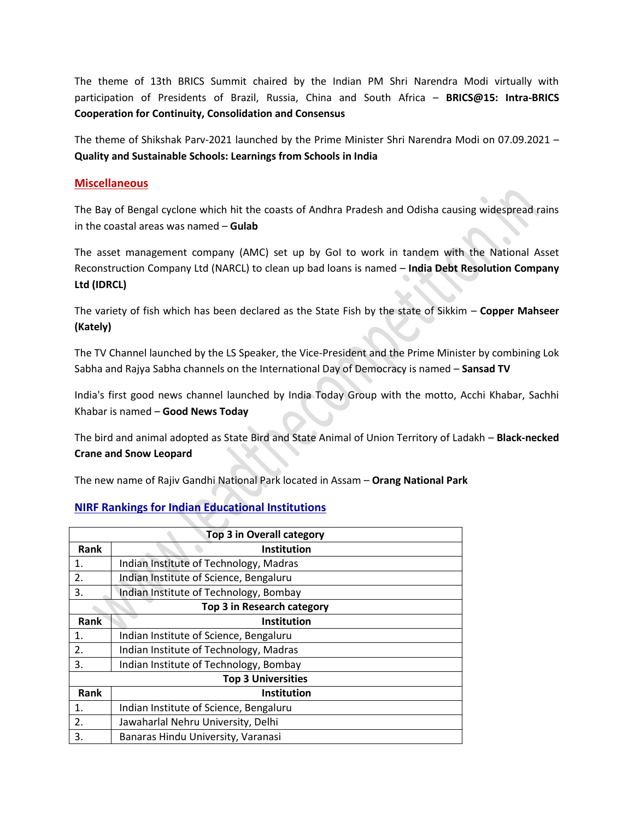The theme of 13th BRICS Summit chaired by the Indian PM Shri Narendra Modi virtually with participation of Presidents of Brazil, Russia, China and South Africa – **BRICS@15: Intra-BRICS Cooperation for Continuity, Consolidation and Consensus** 

The theme of Shikshak Parv-2021 launched by the Prime Minister Shri Narendra Modi on 07.09.2021 – **Quality and Sustainable Schools: Learnings from Schools in India**

### **Miscellaneous**

The Bay of Bengal cyclone which hit the coasts of Andhra Pradesh and Odisha causing widespread rains in the coastal areas was named – **Gulab**

The asset management company (AMC) set up by GoI to work in tandem with the National Asset Reconstruction Company Ltd (NARCL) to clean up bad loans is named – **India Debt Resolution Company Ltd (IDRCL)**

The variety of fish which has been declared as the State Fish by the state of Sikkim – **Copper Mahseer (Kately)**

The TV Channel launched by the LS Speaker, the Vice-President and the Prime Minister by combining Lok Sabha and Rajya Sabha channels on the International Day of Democracy is named – **Sansad TV**

India's first good news channel launched by India Today Group with the motto, Acchi Khabar, Sachhi Khabar is named – **Good News Today**

The bird and animal adopted as State Bird and State Animal of Union Territory of Ladakh – **Black-necked Crane and Snow Leopard**

The new name of Rajiv Gandhi National Park located in Assam – **Orang National Park**

### **NIRF Rankings for Indian Educational Institutions**

| <b>Top 3 in Overall category</b> |                                        |  |  |
|----------------------------------|----------------------------------------|--|--|
| <b>Rank</b>                      | Institution                            |  |  |
| 1.                               | Indian Institute of Technology, Madras |  |  |
| 2.                               | Indian Institute of Science, Bengaluru |  |  |
| 3.                               | Indian Institute of Technology, Bombay |  |  |
| Top 3 in Research category       |                                        |  |  |
| Rank                             | Institution                            |  |  |
| 1.                               | Indian Institute of Science, Bengaluru |  |  |
| 2.                               | Indian Institute of Technology, Madras |  |  |
| 3.                               | Indian Institute of Technology, Bombay |  |  |
| <b>Top 3 Universities</b>        |                                        |  |  |
| Rank                             | Institution                            |  |  |
| 1.                               | Indian Institute of Science, Bengaluru |  |  |
| 2.                               | Jawaharlal Nehru University, Delhi     |  |  |
| 3.                               | Banaras Hindu University, Varanasi     |  |  |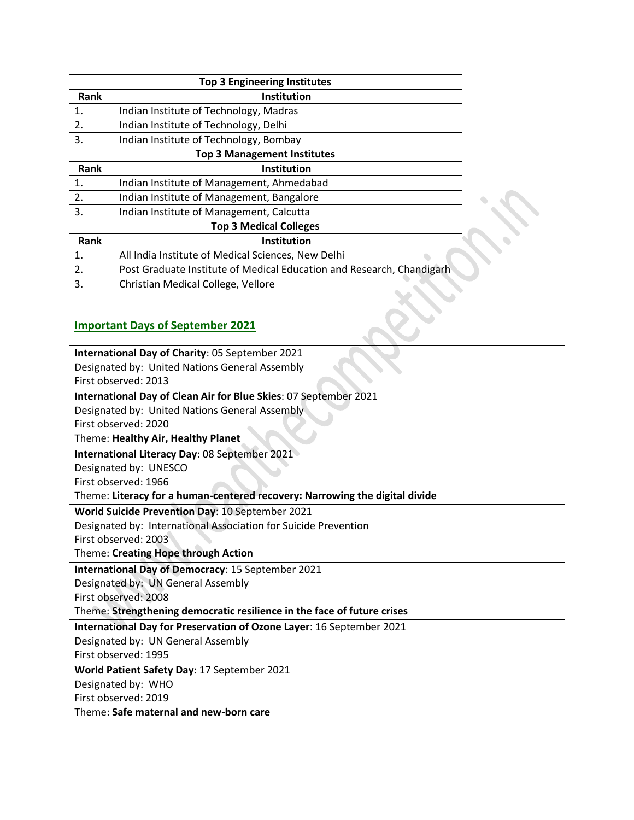| Rank                                    | <b>Institution</b>                                                    |  |  |
|-----------------------------------------|-----------------------------------------------------------------------|--|--|
| 1.                                      | Indian Institute of Technology, Madras                                |  |  |
| 2.                                      | Indian Institute of Technology, Delhi                                 |  |  |
| 3.                                      | Indian Institute of Technology, Bombay                                |  |  |
|                                         |                                                                       |  |  |
| Rank                                    | <b>Institution</b>                                                    |  |  |
| 1.                                      | Indian Institute of Management, Ahmedabad                             |  |  |
| 2.                                      | Indian Institute of Management, Bangalore                             |  |  |
| 3.                                      | Indian Institute of Management, Calcutta                              |  |  |
|                                         |                                                                       |  |  |
| Rank                                    | <b>Institution</b>                                                    |  |  |
| 1.                                      | All India Institute of Medical Sciences, New Delhi                    |  |  |
| 2.                                      | Post Graduate Institute of Medical Education and Research, Chandigarh |  |  |
| 3.                                      | Christian Medical College, Vellore                                    |  |  |
| <b>Important Days of September 2021</b> |                                                                       |  |  |

# **Important Days of September 2021**

| International Day of Charity: 05 September 2021                             |  |  |
|-----------------------------------------------------------------------------|--|--|
| Designated by: United Nations General Assembly                              |  |  |
| First observed: 2013                                                        |  |  |
| International Day of Clean Air for Blue Skies: 07 September 2021            |  |  |
| Designated by: United Nations General Assembly                              |  |  |
| First observed: 2020                                                        |  |  |
| Theme: Healthy Air, Healthy Planet                                          |  |  |
| International Literacy Day: 08 September 2021                               |  |  |
| Designated by: UNESCO                                                       |  |  |
| First observed: 1966                                                        |  |  |
| Theme: Literacy for a human-centered recovery: Narrowing the digital divide |  |  |
| World Suicide Prevention Day: 10 September 2021                             |  |  |
| Designated by: International Association for Suicide Prevention             |  |  |
| First observed: 2003                                                        |  |  |
| Theme: Creating Hope through Action                                         |  |  |
| International Day of Democracy: 15 September 2021                           |  |  |
| Designated by: UN General Assembly                                          |  |  |
| First observed: 2008                                                        |  |  |
| Theme: Strengthening democratic resilience in the face of future crises     |  |  |
| International Day for Preservation of Ozone Layer: 16 September 2021        |  |  |
| Designated by: UN General Assembly                                          |  |  |
| First observed: 1995                                                        |  |  |
| World Patient Safety Day: 17 September 2021                                 |  |  |
| Designated by: WHO                                                          |  |  |
| First observed: 2019                                                        |  |  |
| Theme: Safe maternal and new-born care                                      |  |  |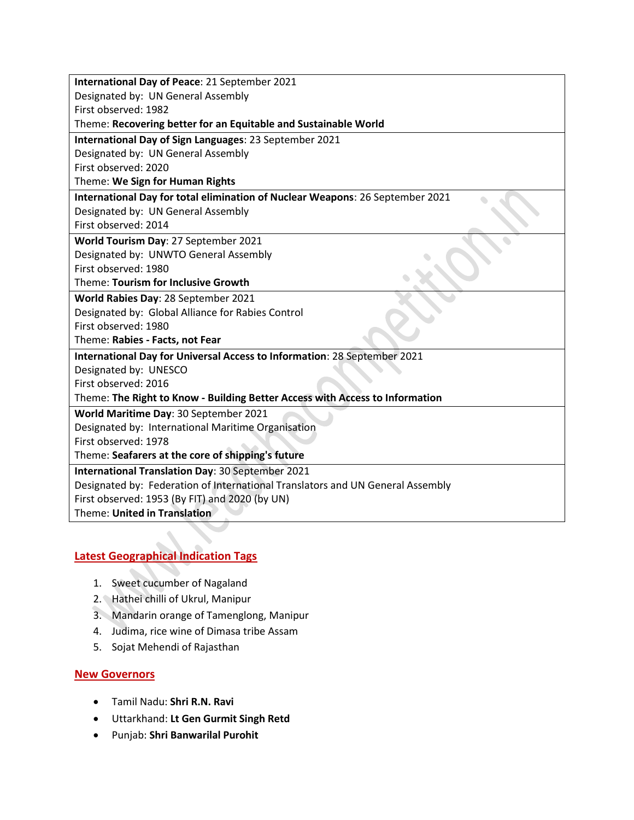| International Day of Peace: 21 September 2021                                  |  |  |
|--------------------------------------------------------------------------------|--|--|
| Designated by: UN General Assembly                                             |  |  |
| First observed: 1982                                                           |  |  |
| Theme: Recovering better for an Equitable and Sustainable World                |  |  |
| International Day of Sign Languages: 23 September 2021                         |  |  |
| Designated by: UN General Assembly                                             |  |  |
| First observed: 2020                                                           |  |  |
| Theme: We Sign for Human Rights                                                |  |  |
| International Day for total elimination of Nuclear Weapons: 26 September 2021  |  |  |
| Designated by: UN General Assembly                                             |  |  |
| First observed: 2014                                                           |  |  |
| World Tourism Day: 27 September 2021                                           |  |  |
| Designated by: UNWTO General Assembly                                          |  |  |
| First observed: 1980                                                           |  |  |
| Theme: Tourism for Inclusive Growth                                            |  |  |
| World Rabies Day: 28 September 2021                                            |  |  |
| Designated by: Global Alliance for Rabies Control                              |  |  |
| First observed: 1980                                                           |  |  |
| Theme: Rabies - Facts, not Fear                                                |  |  |
| International Day for Universal Access to Information: 28 September 2021       |  |  |
| Designated by: UNESCO                                                          |  |  |
| First observed: 2016                                                           |  |  |
| Theme: The Right to Know - Building Better Access with Access to Information   |  |  |
| World Maritime Day: 30 September 2021                                          |  |  |
| Designated by: International Maritime Organisation                             |  |  |
| First observed: 1978                                                           |  |  |
| Theme: Seafarers at the core of shipping's future                              |  |  |
| International Translation Day: 30 September 2021                               |  |  |
| Designated by: Federation of International Translators and UN General Assembly |  |  |
| First observed: 1953 (By FIT) and 2020 (by UN)                                 |  |  |
| Theme: United in Translation                                                   |  |  |

# **Latest Geographical Indication Tags**

- 1. Sweet cucumber of Nagaland
- 2. Hathei chilli of Ukrul, Manipur
- 3. Mandarin orange of Tamenglong, Manipur
- 4. Judima, rice wine of Dimasa tribe Assam
- 5. Sojat Mehendi of Rajasthan

### **New Governors**

- Tamil Nadu: **Shri R.N. Ravi**
- Uttarkhand: **Lt Gen Gurmit Singh Retd**
- Punjab: **Shri Banwarilal Purohit**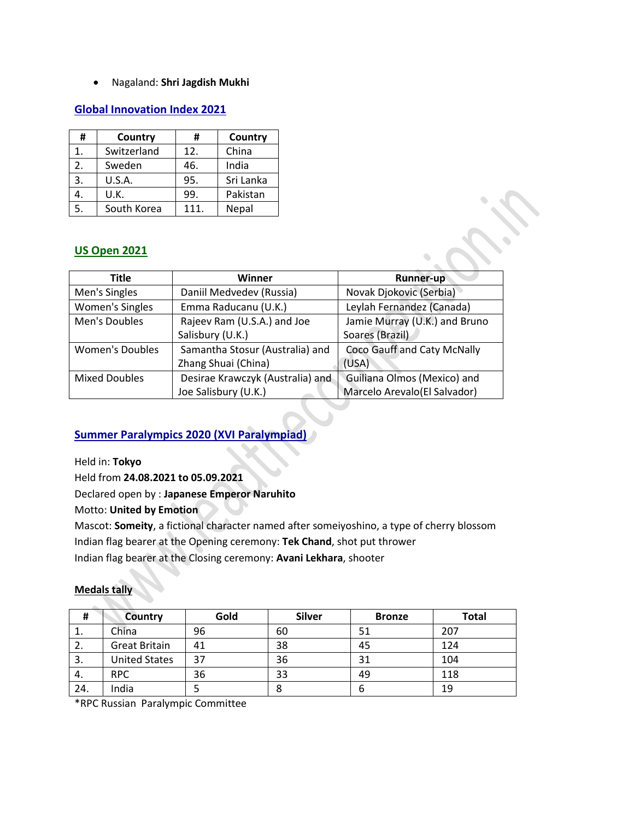Nagaland: **Shri Jagdish Mukhi**

### **Global Innovation Index 2021**

| #  | Country     | #    | Country   |
|----|-------------|------|-----------|
| 1. | Switzerland | 12.  | China     |
| 2. | Sweden      | 46.  | India     |
| 3. | U.S.A.      | 95.  | Sri Lanka |
| 4. | U.K.        | 99.  | Pakistan  |
|    | South Korea | 111. | Nepal     |

## **US Open 2021**

| <b>Title</b>           | Winner                           | <b>Runner-up</b>              |  |
|------------------------|----------------------------------|-------------------------------|--|
| Men's Singles          | Daniil Medvedev (Russia)         | Novak Djokovic (Serbia)       |  |
| <b>Women's Singles</b> | Emma Raducanu (U.K.)             | Leylah Fernandez (Canada)     |  |
| Men's Doubles          | Rajeev Ram (U.S.A.) and Joe      | Jamie Murray (U.K.) and Bruno |  |
|                        | Salisbury (U.K.)                 | Soares (Brazil)               |  |
| <b>Women's Doubles</b> | Samantha Stosur (Australia) and  | Coco Gauff and Caty McNally   |  |
|                        | Zhang Shuai (China)              | (USA)                         |  |
| <b>Mixed Doubles</b>   | Desirae Krawczyk (Australia) and | Guiliana Olmos (Mexico) and   |  |
|                        | Joe Salisbury (U.K.)             | Marcelo Arevalo(El Salvador)  |  |

## **Summer Paralympics 2020 (XVI Paralympiad)**

Held in: **Tokyo**

Held from **24.08.2021 to 05.09.2021**

Declared open by : **Japanese Emperor Naruhito**

Motto: **United by Emotion**

Mascot: **Someity**, a fictional character named after someiyoshino, a type of cherry blossom Indian flag bearer at the Opening ceremony: **Tek Chand**, shot put thrower Indian flag bearer at the Closing ceremony: **Avani Lekhara**, shooter

### **Medals tally**

| #   | Country              | Gold | <b>Silver</b> | <b>Bronze</b> | <b>Total</b> |
|-----|----------------------|------|---------------|---------------|--------------|
| ⊥.  | China                | 96   | 60            | 51            | 207          |
| 2.  | <b>Great Britain</b> | 41   | 38            | 45            | 124          |
| 3.  | <b>United States</b> | 37   | 36            | 31            | 104          |
| 4.  | <b>RPC</b>           | 36   | 33            | 49            | 118          |
| 24. | India                |      |               | b             | 19           |

\*RPC Russian Paralympic Committee